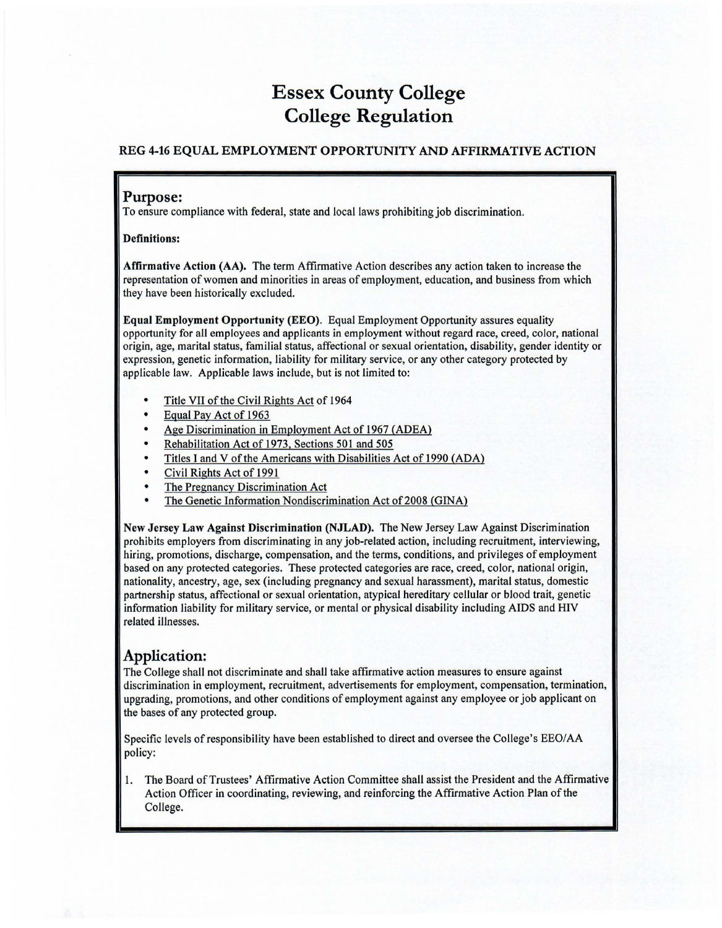## Essex County College College Regulation

## REG 4-16 EQUAL EMPLOYMENT OPPORTUNITY AND AFFIRMATIVE ACTION

## Purpose:

To ensure compliance with federal, state and local laws prohibiting job discrimination.

Definitions:

Affirmative Action (AA). The term Affirmative Action describes any action taken to increase the representation of women and minorities in areas of employment, education, and business from which they have been historically excluded.

Equal Employment Opportunity (EEO). Equal Employment Opportunity assures equality opportunity for all employees and applicants in employment without regard race, creed, color, national origin, age, marital status, familial status, affectional or sexual orientation, disability, gender identity or expression, genetic information, liability for military service, or any other category protected by applicable law. Applicable laws include, but is not limited to:

- Title VII of the Civil Rights Act of 1964
- Equal Pay Act of 1963
- Age Discrimination in Employment Act of 1967 (ADEA)
- Rehabilitation Act of 1973, Sections 501 and 505
- Titles I and V of the Americans with Disabilities Act of 1990 (ADA)
- Civil Rights Act of 1991
- The Pregnancy Discrimination Act
- The Genetic Information Nondiscrimination Act of 2008 (GINA)

New Jersey Law Against Discrimination (NJLAD). The New Jersey Law Against Discrimination prohibits employers from discriminating in any job-related action, including recruitment, interviewing, hiring, promotions, discharge, compensation, and the terms, conditions, and privileges of employment based on any protected categories. These protected categories are race, creed, color, national origin, nationality, ancestry, age, sex (including pregnancy and sexual harassment), marital status, domestic partnership status, affectional or sexual orientation, atypical hereditary cellular or blood trait, genetic information liability for military service, or mental or physical disability including AIDS and HIV related illnesses.

## Application:

The College shall not discriminate and shall take affirmative action measures to ensure against discrimination in employment, recruitment, advertisements for employment, compensation, termination, upgrading, promotions, and other conditions of employment against any employee or job applicant on the bases of any protected group.

Specific levels of responsibility have been established to direct and oversee the College's EEO/AA policy:

1. The Board of Trustees' Affirmative Action Committee shall assist the President and the Affirmative Action Officer in coordinating, reviewing, and reinforcing the Affirmative Action Plan of the College.